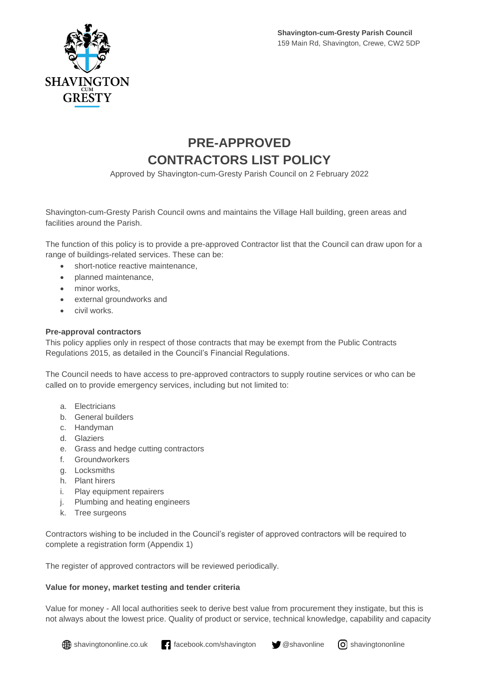

## **PRE-APPROVED CONTRACTORS LIST POLICY**

Approved by Shavington-cum-Gresty Parish Council on 2 February 2022

Shavington-cum-Gresty Parish Council owns and maintains the Village Hall building, green areas and facilities around the Parish.

The function of this policy is to provide a pre-approved Contractor list that the Council can draw upon for a range of buildings-related services. These can be:

- short-notice reactive maintenance,
- planned maintenance,
- minor works.
- external groundworks and
- civil works.

#### **Pre-approval contractors**

This policy applies only in respect of those contracts that may be exempt from the Public Contracts Regulations 2015, as detailed in the Council's Financial Regulations.

The Council needs to have access to pre-approved contractors to supply routine services or who can be called on to provide emergency services, including but not limited to:

- a. Electricians
- b. General builders
- c. Handyman
- d. Glaziers
- e. Grass and hedge cutting contractors
- f. Groundworkers
- g. Locksmiths
- h. Plant hirers
- i. Play equipment repairers
- j. Plumbing and heating engineers
- k. Tree surgeons

Contractors wishing to be included in the Council's register of approved contractors will be required to complete a registration form (Appendix 1)

The register of approved contractors will be reviewed periodically.

### **Value for money, market testing and tender criteria**

Value for money - All local authorities seek to derive best value from procurement they instigate, but this is not always about the lowest price. Quality of product or service, technical knowledge, capability and capacity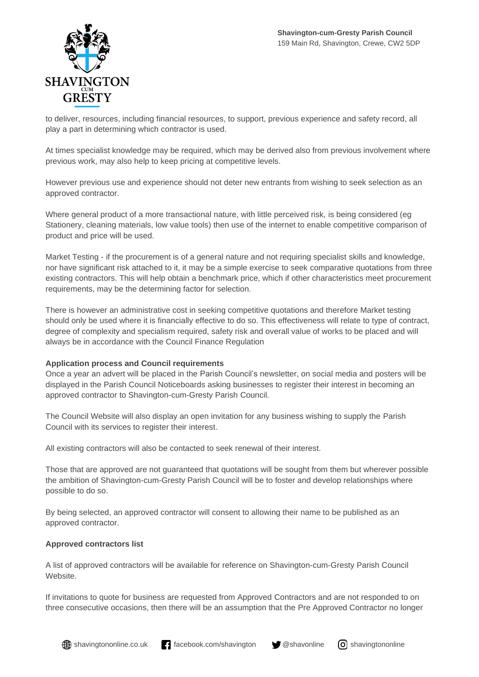

to deliver, resources, including financial resources, to support, previous experience and safety record, all play a part in determining which contractor is used.

At times specialist knowledge may be required, which may be derived also from previous involvement where previous work, may also help to keep pricing at competitive levels.

However previous use and experience should not deter new entrants from wishing to seek selection as an approved contractor.

Where general product of a more transactional nature, with little perceived risk, is being considered (eg Stationery, cleaning materials, low value tools) then use of the internet to enable competitive comparison of product and price will be used.

Market Testing - if the procurement is of a general nature and not requiring specialist skills and knowledge, nor have significant risk attached to it, it may be a simple exercise to seek comparative quotations from three existing contractors. This will help obtain a benchmark price, which if other characteristics meet procurement requirements, may be the determining factor for selection.

There is however an administrative cost in seeking competitive quotations and therefore Market testing should only be used where it is financially effective to do so. This effectiveness will relate to type of contract, degree of complexity and specialism required, safety risk and overall value of works to be placed and will always be in accordance with the Council Finance Regulation

#### **Application process and Council requirements**

Once a year an advert will be placed in the Parish Council's newsletter, on social media and posters will be displayed in the Parish Council Noticeboards asking businesses to register their interest in becoming an approved contractor to Shavington-cum-Gresty Parish Council.

The Council Website will also display an open invitation for any business wishing to supply the Parish Council with its services to register their interest.

All existing contractors will also be contacted to seek renewal of their interest.

Those that are approved are not guaranteed that quotations will be sought from them but wherever possible the ambition of Shavington-cum-Gresty Parish Council will be to foster and develop relationships where possible to do so.

By being selected, an approved contractor will consent to allowing their name to be published as an approved contractor.

#### **Approved contractors list**

A list of approved contractors will be available for reference on Shavington-cum-Gresty Parish Council Website.

If invitations to quote for business are requested from Approved Contractors and are not responded to on three consecutive occasions, then there will be an assumption that the Pre Approved Contractor no longer

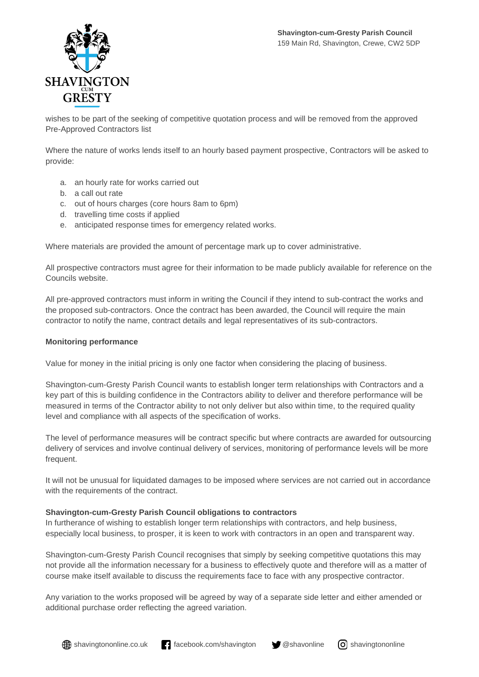

wishes to be part of the seeking of competitive quotation process and will be removed from the approved Pre-Approved Contractors list

Where the nature of works lends itself to an hourly based payment prospective, Contractors will be asked to provide:

- a. an hourly rate for works carried out
- b. a call out rate
- c. out of hours charges (core hours 8am to 6pm)
- d. travelling time costs if applied
- e. anticipated response times for emergency related works.

Where materials are provided the amount of percentage mark up to cover administrative.

All prospective contractors must agree for their information to be made publicly available for reference on the Councils website.

All pre-approved contractors must inform in writing the Council if they intend to sub-contract the works and the proposed sub-contractors. Once the contract has been awarded, the Council will require the main contractor to notify the name, contract details and legal representatives of its sub-contractors.

#### **Monitoring performance**

Value for money in the initial pricing is only one factor when considering the placing of business.

Shavington-cum-Gresty Parish Council wants to establish longer term relationships with Contractors and a key part of this is building confidence in the Contractors ability to deliver and therefore performance will be measured in terms of the Contractor ability to not only deliver but also within time, to the required quality level and compliance with all aspects of the specification of works.

The level of performance measures will be contract specific but where contracts are awarded for outsourcing delivery of services and involve continual delivery of services, monitoring of performance levels will be more frequent.

It will not be unusual for liquidated damages to be imposed where services are not carried out in accordance with the requirements of the contract.

#### **Shavington-cum-Gresty Parish Council obligations to contractors**

In furtherance of wishing to establish longer term relationships with contractors, and help business, especially local business, to prosper, it is keen to work with contractors in an open and transparent way.

Shavington-cum-Gresty Parish Council recognises that simply by seeking competitive quotations this may not provide all the information necessary for a business to effectively quote and therefore will as a matter of course make itself available to discuss the requirements face to face with any prospective contractor.

Any variation to the works proposed will be agreed by way of a separate side letter and either amended or additional purchase order reflecting the agreed variation.

 $\bigoplus$  shavingtononline.co.uk facebook.com/shavington  $\bigcirc$  @shavonline  $\bigcirc$  shavingtononline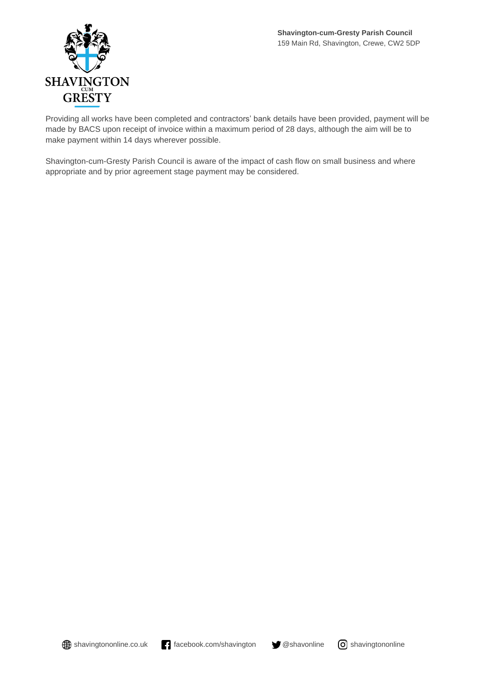

Providing all works have been completed and contractors' bank details have been provided, payment will be made by BACS upon receipt of invoice within a maximum period of 28 days, although the aim will be to make payment within 14 days wherever possible.

Shavington-cum-Gresty Parish Council is aware of the impact of cash flow on small business and where appropriate and by prior agreement stage payment may be considered.



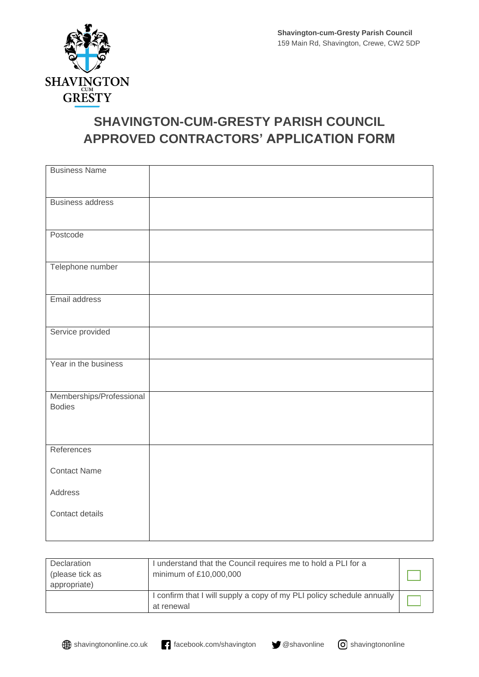

# **SHAVINGTON-CUM-GRESTY PARISH COUNCIL APPROVED CONTRACTORS' APPLICATION FORM**

| <b>Business Name</b>                      |  |
|-------------------------------------------|--|
| <b>Business address</b>                   |  |
| Postcode                                  |  |
| Telephone number                          |  |
| Email address                             |  |
| Service provided                          |  |
| Year in the business                      |  |
| Memberships/Professional<br><b>Bodies</b> |  |
| References                                |  |
| <b>Contact Name</b>                       |  |
| Address                                   |  |
| Contact details                           |  |

| Declaration                     | I understand that the Council requires me to hold a PLI for a                        |  |
|---------------------------------|--------------------------------------------------------------------------------------|--|
| (please tick as<br>appropriate) | minimum of £10,000,000                                                               |  |
|                                 | I confirm that I will supply a copy of my PLI policy schedule annually<br>at renewal |  |